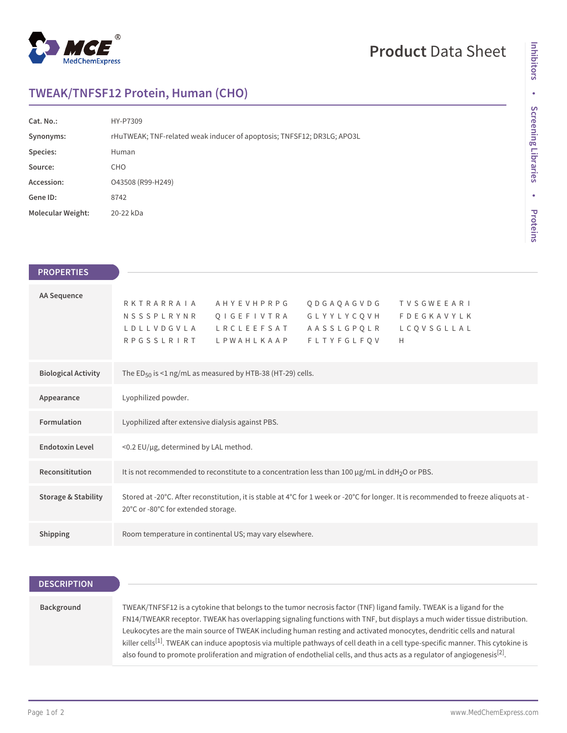

# **Product** Data Sheet

# **TWEAK/TNFSF12 Protein, Human (CHO)**

| Cat. No.:                | HY-P7309                                                               |
|--------------------------|------------------------------------------------------------------------|
| Synonyms:                | rHuTWEAK; TNF-related weak inducer of apoptosis; TNFSF12; DR3LG; APO3L |
| Species:                 | Human                                                                  |
| Source:                  | <b>CHO</b>                                                             |
| Accession:               | O43508 (R99-H249)                                                      |
| Gene ID:                 | 8742                                                                   |
| <b>Molecular Weight:</b> | 20-22 kDa                                                              |

| <b>PROPERTIES</b>              |                                                                                                                                      |
|--------------------------------|--------------------------------------------------------------------------------------------------------------------------------------|
| AA Sequence                    |                                                                                                                                      |
|                                | RKTRARRAIA<br>A H Y E V H P R P G<br>QDGAQAGVDG<br>TVSGWEEARI                                                                        |
|                                | NSSSPLRYNR QIGEFIVTRA GLYYLYCQVH<br><b>FDEGKAVYLK</b>                                                                                |
|                                | LDLLVDGVLA LRCLEEFSAT<br>AASSLGPQLR<br>LCQVSGLLAL                                                                                    |
|                                | <b>FLTYFGLFQV</b><br>RPGSSLRIRT LPWAHLKAAP<br>H                                                                                      |
|                                |                                                                                                                                      |
| <b>Biological Activity</b>     | The ED <sub>50</sub> is <1 ng/mL as measured by HTB-38 (HT-29) cells.                                                                |
|                                |                                                                                                                                      |
| Appearance                     | Lyophilized powder.                                                                                                                  |
|                                |                                                                                                                                      |
| Formulation                    | Lyophilized after extensive dialysis against PBS.                                                                                    |
|                                |                                                                                                                                      |
| <b>Endotoxin Level</b>         | <0.2 EU/µg, determined by LAL method.                                                                                                |
|                                |                                                                                                                                      |
| Reconsititution                | It is not recommended to reconstitute to a concentration less than 100 $\mu$ g/mL in ddH <sub>2</sub> O or PBS.                      |
|                                |                                                                                                                                      |
| <b>Storage &amp; Stability</b> | Stored at -20°C. After reconstitution, it is stable at 4°C for 1 week or -20°C for longer. It is recommended to freeze aliquots at - |
|                                |                                                                                                                                      |
|                                | 20°C or -80°C for extended storage.                                                                                                  |
|                                |                                                                                                                                      |
| <b>Shipping</b>                | Room temperature in continental US; may vary elsewhere.                                                                              |

#### **DESCRIPTION**

## **Background** TWEAK/TNFSF12 is a cytokine that belongs to the tumor necrosis factor (TNF) ligand family. TWEAK is a ligand for the FN14/TWEAKR receptor. TWEAK has overlapping signaling functions with TNF, but displays a much wider tissue distribution. Leukocytes are the main source of TWEAK including human resting and activated monocytes, dendritic cells and natural killer cells<sup>[1]</sup>. TWEAK can induce apoptosis via multiple pathways of cell death in a cell type-specific manner. This cytokine is also found to promote proliferation and migration of endothelial cells, and thus acts as a regulator of angiogenesis[2].